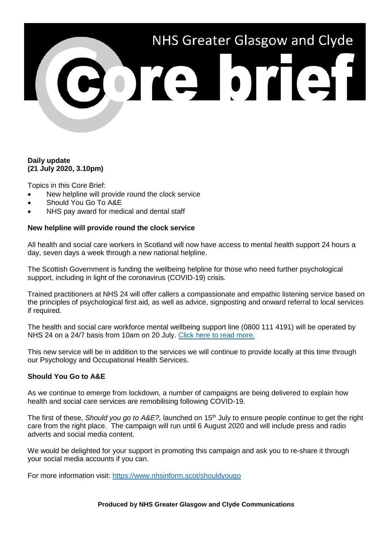# NHS Greater Glasgow and Clyde 301310131

### **Daily update (21 July 2020, 3.10pm)**

Topics in this Core Brief:

- New helpline will provide round the clock service
- Should You Go To A&E
- NHS pay award for medical and dental staff

## **New helpline will provide round the clock service**

All health and social care workers in Scotland will now have access to mental health support 24 hours a day, seven days a week through a new national helpline.

The Scottish Government is funding the wellbeing helpline for those who need further psychological support, including in light of the coronavirus (COVID-19) crisis.

Trained practitioners at NHS 24 will offer callers a compassionate and empathic listening service based on the principles of psychological first aid, as well as advice, signposting and onward referral to local services if required.

The health and social care workforce mental wellbeing support line (0800 111 4191) will be operated by NHS 24 on a 24/7 basis from 10am on 20 July. [Click here to read more.](https://www.gov.scot/news/more-mental-health-support-for-health-and-social-care-staff/)

This new service will be in addition to the services we will continue to provide locally at this time through our Psychology and Occupational Health Services.

# **Should You Go to A&E**

As we continue to emerge from lockdown, a number of campaigns are being delivered to explain how health and social care services are remobilising following COVID-19.

The first of these, *Should you go to A&E?*, launched on 15<sup>th</sup> July to ensure people continue to get the right care from the right place. The campaign will run until 6 August 2020 and will include press and radio adverts and social media content.

We would be delighted for your support in promoting this campaign and ask you to re-share it through your social media accounts if you can.

For more information visit:<https://www.nhsinform.scot/shouldyougo>

**Produced by NHS Greater Glasgow and Clyde Communications**